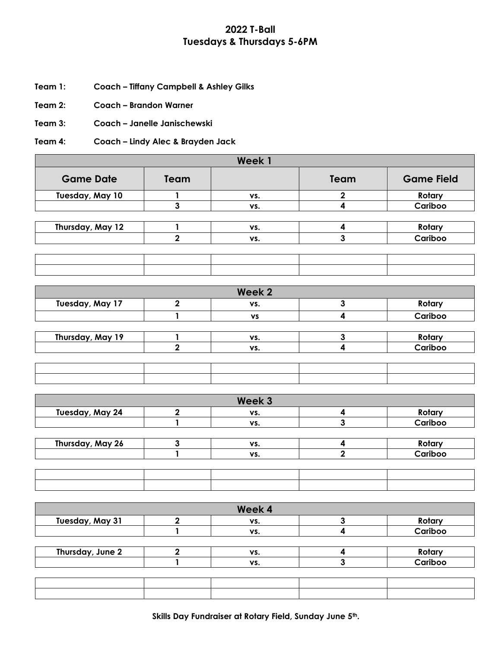## **2022 T-Ball Tuesdays & Thursdays 5-6PM**

- **Team 1: Coach – Tiffany Campbell & Ashley Gilks**
- **Team 2: Coach – Brandon Warner**
- **Team 3: Coach – Janelle Janischewski**

**Team 4: Coach – Lindy Alec & Brayden Jack**

| <b>Week1</b>     |      |     |      |                   |
|------------------|------|-----|------|-------------------|
| <b>Game Date</b> | Team |     | Team | <b>Game Field</b> |
| Tuesday, May 10  |      | VS. |      | Rotary            |
|                  |      | VS. |      | Cariboo           |
|                  |      |     |      |                   |
| Thursday, May 12 |      | VS. |      | Rotary            |
|                  |      | VS. |      | Cariboo           |

| <u> 1986 - Andrea San Andrea Andrea Andrea Andrea Andrea Andrea Andrea Andrea Andrea Andrea Andrea Andrea Andrea</u> |  |  |
|----------------------------------------------------------------------------------------------------------------------|--|--|
|                                                                                                                      |  |  |
|                                                                                                                      |  |  |
| the contract of the contract of the contract of the contract of the contract of the contract of the contract of      |  |  |
|                                                                                                                      |  |  |

|                  | Week 2 |         |
|------------------|--------|---------|
| Tuesday, May 17  | VS.    | Rotary  |
|                  | ٧S     | Cariboo |
|                  |        |         |
| Thursday, May 19 | VS.    | Rotary  |
|                  | VS.    | Cariboo |

|                  | Week 3 |         |
|------------------|--------|---------|
| Tuesday, May 24  | VS.    | Rotary  |
|                  | VS.    | Cariboo |
|                  |        |         |
| Thursday, May 26 | VS.    | Rotary  |
|                  | VS.    | Cariboo |
|                  |        |         |

| Rotary  |
|---------|
| Cariboo |
|         |
| Rotary  |
| Cariboo |
|         |
|         |

**Skills Day Fundraiser at Rotary Field, Sunday June 5th.**